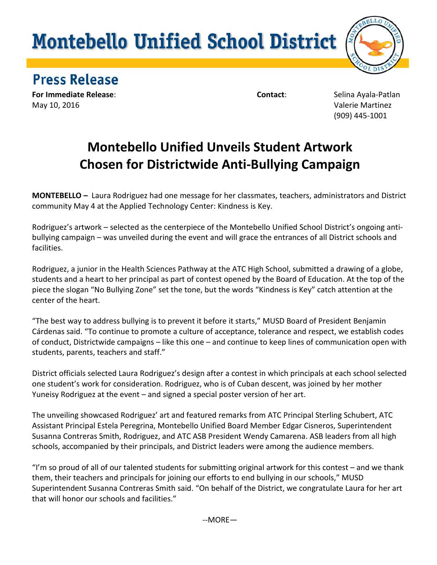## **Montebello Unified School District**



## **Press Release**

**For Immediate Release: Selina Ayala-Patlan For Immediate Release:** Selina Ayala-Patlan May 10, 2016 Valerie Martinez

(909) 445-1001

## **Montebello Unified Unveils Student Artwork Chosen for Districtwide Anti-Bullying Campaign**

**MONTEBELLO** *–* Laura Rodriguez had one message for her classmates, teachers, administrators and District community May 4 at the Applied Technology Center: Kindness is Key.

Rodriguez's artwork – selected as the centerpiece of the Montebello Unified School District's ongoing antibullying campaign – was unveiled during the event and will grace the entrances of all District schools and facilities.

Rodriguez, a junior in the Health Sciences Pathway at the ATC High School, submitted a drawing of a globe, students and a heart to her principal as part of contest opened by the Board of Education. At the top of the piece the slogan "No Bullying Zone" set the tone, but the words "Kindness is Key" catch attention at the center of the heart.

"The best way to address bullying is to prevent it before it starts," MUSD Board of President Benjamin Cárdenas said. "To continue to promote a culture of acceptance, tolerance and respect, we establish codes of conduct, Districtwide campaigns – like this one – and continue to keep lines of communication open with students, parents, teachers and staff."

District officials selected Laura Rodriguez's design after a contest in which principals at each school selected one student's work for consideration. Rodriguez, who is of Cuban descent, was joined by her mother Yuneisy Rodriguez at the event – and signed a special poster version of her art.

The unveiling showcased Rodriguez' art and featured remarks from ATC Principal Sterling Schubert, ATC Assistant Principal Estela Peregrina, Montebello Unified Board Member Edgar Cisneros, Superintendent Susanna Contreras Smith, Rodriguez, and ATC ASB President Wendy Camarena. ASB leaders from all high schools, accompanied by their principals, and District leaders were among the audience members.

"I'm so proud of all of our talented students for submitting original artwork for this contest – and we thank them, their teachers and principals for joining our efforts to end bullying in our schools," MUSD Superintendent Susanna Contreras Smith said. "On behalf of the District, we congratulate Laura for her art that will honor our schools and facilities."